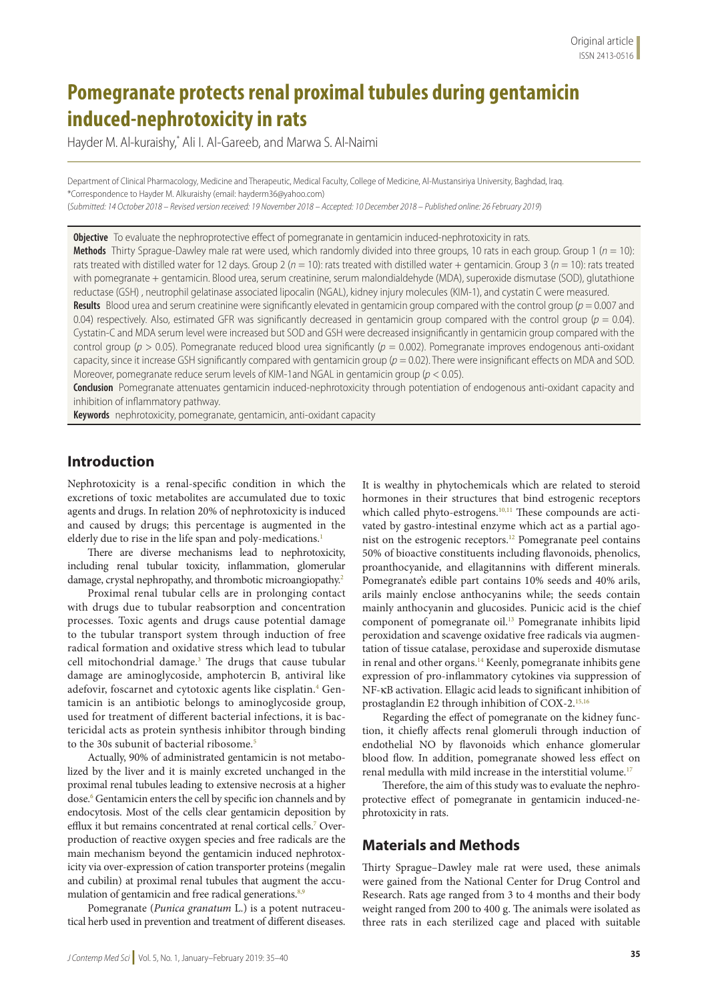# **Pomegranate protects renal proximal tubules during gentamicin induced-nephrotoxicity in rats**

Hayder M. Al-kuraishy,\* Ali I. Al-Gareeb, and Marwa S. Al-Naimi

Department of Clinical Pharmacology, Medicine and Therapeutic, Medical Faculty, College of Medicine, Al-Mustansiriya University, Baghdad, Iraq. \*Correspondence to Hayder M. Alkuraishy (email: hayderm36@yahoo.com)

(*Submitted: 14 October 2018 – Revised version received: 19 November 2018 – Accepted: 10 December 2018 – Published online: 26 February 2019*)

**Objective** To evaluate the nephroprotective effect of pomegranate in gentamicin induced-nephrotoxicity in rats. **Methods** Thirty Sprague-Dawley male rat were used, which randomly divided into three groups, 10 rats in each group. Group 1 (*n* = 10): rats treated with distilled water for 12 days. Group 2 (*n* = 10): rats treated with distilled water + gentamicin. Group 3 (*n* = 10): rats treated with pomegranate + gentamicin. Blood urea, serum creatinine, serum malondialdehyde (MDA), superoxide dismutase (SOD), glutathione reductase (GSH) , neutrophil gelatinase associated lipocalin (NGAL), kidney injury molecules (KIM-1), and cystatin C were measured. **Results** Blood urea and serum creatinine were significantly elevated in gentamicin group compared with the control group (*p* = 0.007 and 0.04) respectively. Also, estimated GFR was significantly decreased in gentamicin group compared with the control group (*p* = 0.04). Cystatin-C and MDA serum level were increased but SOD and GSH were decreased insignificantly in gentamicin group compared with the control group (*p* > 0.05). Pomegranate reduced blood urea significantly (*p* = 0.002). Pomegranate improves endogenous anti-oxidant capacity, since it increase GSH significantly compared with gentamicin group ( $p = 0.02$ ). There were insignificant effects on MDA and SOD. Moreover, pomegranate reduce serum levels of KIM-1and NGAL in gentamicin group (*p* < 0.05).

**Conclusion** Pomegranate attenuates gentamicin induced-nephrotoxicity through potentiation of endogenous anti-oxidant capacity and inhibition of inflammatory pathway.

**Keywords** nephrotoxicity, pomegranate, gentamicin, anti-oxidant capacity

### **Introduction**

Nephrotoxicity is a renal-specific condition in which the excretions of toxic metabolites are accumulated due to toxic agents and drugs. In relation 20% of nephrotoxicity is induced and caused by drugs; this percentage is augmented in the elderly due to rise in the life span and poly-medications.<sup>1</sup>

There are diverse mechanisms lead to nephrotoxicity, including renal tubular toxicity, inflammation, glomerular damage, crystal nephropathy, and thrombotic microangiopathy.2

Proximal renal tubular cells are in prolonging contact with drugs due to tubular reabsorption and concentration processes. Toxic agents and drugs cause potential damage to the tubular transport system through induction of free radical formation and oxidative stress which lead to tubular cell mitochondrial damage.<sup>3</sup> The drugs that cause tubular damage are aminoglycoside, amphotercin B, antiviral like adefovir, foscarnet and cytotoxic agents like cisplatin.<sup>4</sup> Gentamicin is an antibiotic belongs to aminoglycoside group, used for treatment of different bacterial infections, it is bactericidal acts as protein synthesis inhibitor through binding to the 30s subunit of bacterial ribosome.<sup>5</sup>

Actually, 90% of administrated gentamicin is not metabolized by the liver and it is mainly excreted unchanged in the proximal renal tubules leading to extensive necrosis at a higher dose.<sup>6</sup> Gentamicin enters the cell by specific ion channels and by endocytosis. Most of the cells clear gentamicin deposition by efflux it but remains concentrated at renal cortical cells.7 Overproduction of reactive oxygen species and free radicals are the main mechanism beyond the gentamicin induced nephrotoxicity via over-expression of cation transporter proteins (megalin and cubilin) at proximal renal tubules that augment the accumulation of gentamicin and free radical generations.<sup>8,9</sup>

Pomegranate (*Punica granatum* L.) is a potent nutraceutical herb used in prevention and treatment of different diseases.

It is wealthy in phytochemicals which are related to steroid hormones in their structures that bind estrogenic receptors which called phyto-estrogens.<sup>10,11</sup> These compounds are activated by gastro-intestinal enzyme which act as a partial agonist on the estrogenic receptors.12 Pomegranate peel contains 50% of bioactive constituents including flavonoids, phenolics, proanthocyanide, and ellagitannins with different minerals. Pomegranate's edible part contains 10% seeds and 40% arils, arils mainly enclose anthocyanins while; the seeds contain mainly anthocyanin and glucosides. Punicic acid is the chief component of pomegranate oil.<sup>13</sup> Pomegranate inhibits lipid peroxidation and scavenge oxidative free radicals via augmentation of tissue catalase, peroxidase and superoxide dismutase in renal and other organs.<sup>14</sup> Keenly, pomegranate inhibits gene expression of pro-inflammatory cytokines via suppression of NF-κB activation. Ellagic acid leads to significant inhibition of prostaglandin E2 through inhibition of COX-2.15,16

Regarding the effect of pomegranate on the kidney function, it chiefly affects renal glomeruli through induction of endothelial NO by flavonoids which enhance glomerular blood flow. In addition, pomegranate showed less effect on renal medulla with mild increase in the interstitial volume.<sup>17</sup>

Therefore, the aim of this study was to evaluate the nephroprotective effect of pomegranate in gentamicin induced-nephrotoxicity in rats.

### **Materials and Methods**

Thirty Sprague–Dawley male rat were used, these animals were gained from the National Center for Drug Control and Research. Rats age ranged from 3 to 4 months and their body weight ranged from 200 to 400 g. The animals were isolated as three rats in each sterilized cage and placed with suitable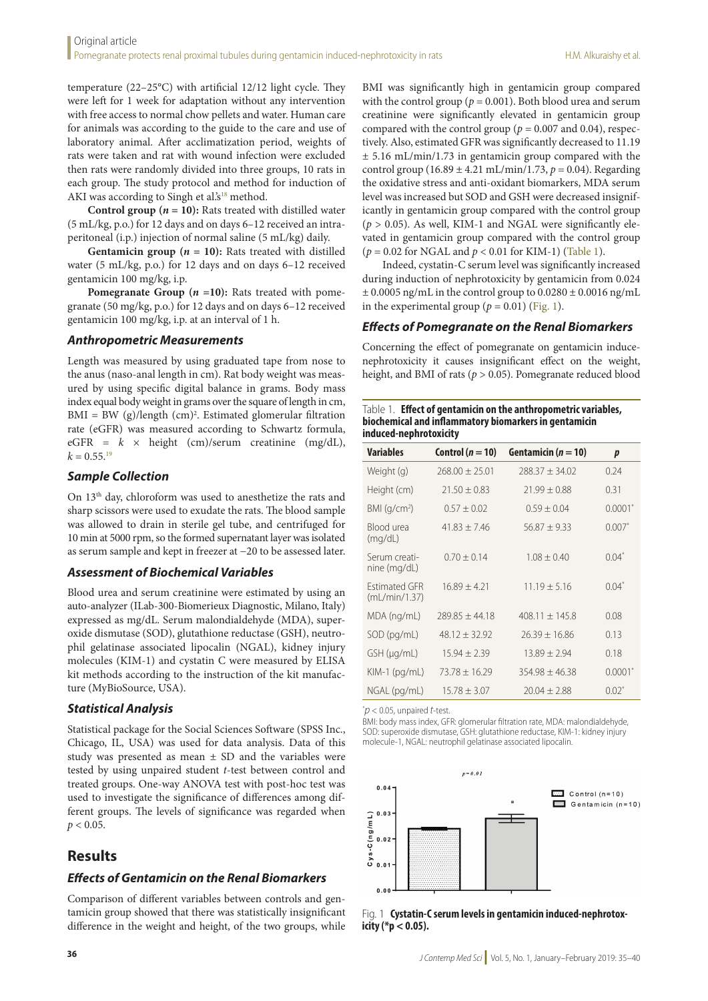temperature (22–25°C) with artificial 12/12 light cycle. They were left for 1 week for adaptation without any intervention with free access to normal chow pellets and water. Human care for animals was according to the guide to the care and use of laboratory animal. After acclimatization period, weights of rats were taken and rat with wound infection were excluded then rats were randomly divided into three groups, 10 rats in each group. The study protocol and method for induction of AKI was according to Singh et al.'s<sup>18</sup> method.

**Control group (** $n = 10$ **):** Rats treated with distilled water (5 mL/kg, p.o.) for 12 days and on days 6–12 received an intraperitoneal (i.p.) injection of normal saline (5 mL/kg) daily.

**Gentamicin group (***n* **= 10):** Rats treated with distilled water (5 mL/kg, p.o.) for 12 days and on days 6–12 received gentamicin 100 mg/kg, i.p.

**Pomegranate Group (** $n = 10$ **):** Rats treated with pomegranate (50 mg/kg, p.o.) for 12 days and on days 6–12 received gentamicin 100 mg/kg, i.p. at an interval of 1 h.

#### *Anthropometric Measurements*

Length was measured by using graduated tape from nose to the anus (naso-anal length in cm). Rat body weight was measured by using specific digital balance in grams. Body mass index equal body weight in grams over the square of length in cm, BMI = BW (g)/length (cm)2 . Estimated glomerular filtration rate (eGFR) was measured according to Schwartz formula,  $eGFR = k \times height$  (cm)/serum creatinine (mg/dL),  $k = 0.55$ <sup>19</sup>

#### *Sample Collection*

On 13th day, chloroform was used to anesthetize the rats and sharp scissors were used to exudate the rats. The blood sample was allowed to drain in sterile gel tube, and centrifuged for 10 min at 5000 rpm, so the formed supernatant layer was isolated as serum sample and kept in freezer at −20 to be assessed later.

#### *Assessment of Biochemical Variables*

Blood urea and serum creatinine were estimated by using an auto-analyzer (ILab-300-Biomerieux Diagnostic, Milano, Italy) expressed as mg/dL. Serum malondialdehyde (MDA), superoxide dismutase (SOD), glutathione reductase (GSH), neutrophil gelatinase associated lipocalin (NGAL), kidney injury molecules (KIM-1) and cystatin C were measured by ELISA kit methods according to the instruction of the kit manufacture (MyBioSource, USA).

#### *Statistical Analysis*

Statistical package for the Social Sciences Software (SPSS Inc., Chicago, IL, USA) was used for data analysis. Data of this study was presented as mean  $\pm$  SD and the variables were tested by using unpaired student *t*-test between control and treated groups. One-way ANOVA test with post-hoc test was used to investigate the significance of differences among different groups. The levels of significance was regarded when  $p < 0.05$ .

### **Results**

#### *Effects of Gentamicin on the Renal Biomarkers*

Comparison of different variables between controls and gentamicin group showed that there was statistically insignificant difference in the weight and height, of the two groups, while BMI was significantly high in gentamicin group compared with the control group ( $p = 0.001$ ). Both blood urea and serum creatinine were significantly elevated in gentamicin group compared with the control group ( $p = 0.007$  and 0.04), respectively. Also, estimated GFR was significantly decreased to 11.19 ± 5.16 mL/min/1.73 in gentamicin group compared with the control group  $(16.89 \pm 4.21 \text{ mL/min}/1.73, p = 0.04)$ . Regarding the oxidative stress and anti-oxidant biomarkers, MDA serum level was increased but SOD and GSH were decreased insignificantly in gentamicin group compared with the control group (*p* > 0.05). As well, KIM-1 and NGAL were significantly elevated in gentamicin group compared with the control group (*p* = 0.02 for NGAL and *p* < 0.01 for KIM-1) (Table 1).

Indeed, cystatin-C serum level was significantly increased during induction of nephrotoxicity by gentamicin from 0.024  $\pm$  0.0005 ng/mL in the control group to 0.0280  $\pm$  0.0016 ng/mL in the experimental group ( $p = 0.01$ ) (Fig. 1).

#### *Effects of Pomegranate on the Renal Biomarkers*

Concerning the effect of pomegranate on gentamicin inducenephrotoxicity it causes insignificant effect on the weight, height, and BMI of rats (*p* > 0.05). Pomegranate reduced blood

| Table 1. <b>Effect of gentamicin on the anthropometric variables,</b> |
|-----------------------------------------------------------------------|
| biochemical and inflammatory biomarkers in gentamicin                 |
| induced-nephrotoxicity                                                |

| <b>Variables</b>                      | Control ( $n = 10$ ) | Gentamicin ( $n = 10$ ) | p         |
|---------------------------------------|----------------------|-------------------------|-----------|
| Weight (g)                            | $768.00 + 75.01$     | $788.37 + 34.02$        | 0.24      |
| Height (cm)                           | $21.50 \pm 0.83$     | $71.99 + 0.88$          | 0.31      |
| BMI (q/cm <sup>2</sup> )              | $0.57 \pm 0.02$      | $0.59 \pm 0.04$         | $0.0001*$ |
| Blood urea<br>(mq/dL)                 | $41.83 + 7.46$       | $56.87 + 9.33$          | $0.007*$  |
| Serum creati-<br>nine (mg/dL)         | $0.70 \pm 0.14$      | $1.08 + 0.40$           | $0.04*$   |
| <b>Fstimated GFR</b><br>(mL/min/1.37) | $16.89 + 4.21$       | $11.19 + 5.16$          | $0.04*$   |
| MDA (ng/mL)                           | $789.85 + 44.18$     | $408.11 \pm 145.8$      | 0.08      |
| $SOD$ (pg/mL)                         | $48.12 + 32.92$      | $26.39 + 16.86$         | 0.13      |
| GSH (µq/mL)                           | $15.94 \pm 2.39$     | $13.89 \pm 2.94$        | 0.18      |
| $KIM-1$ (pg/mL)                       | $73.78 + 16.29$      | $354.98 + 46.38$        | $0.0001*$ |
| NGAL (pg/mL)                          | $15.78 + 3.07$       | $20.04 + 2.88$          | $0.02^*$  |

\* *p* < 0.05, unpaired *t*-test.

BMI: body mass index, GFR: glomerular filtration rate, MDA: malondialdehyde, SOD: superoxide dismutase, GSH: glutathione reductase, KIM-1: kidney injury molecule-1, NGAL: neutrophil gelatinase associated lipocalin.



Fig. 1 **Cystatin-C serum levels in gentamicin induced-nephrotox- icity (\*p < 0.05).**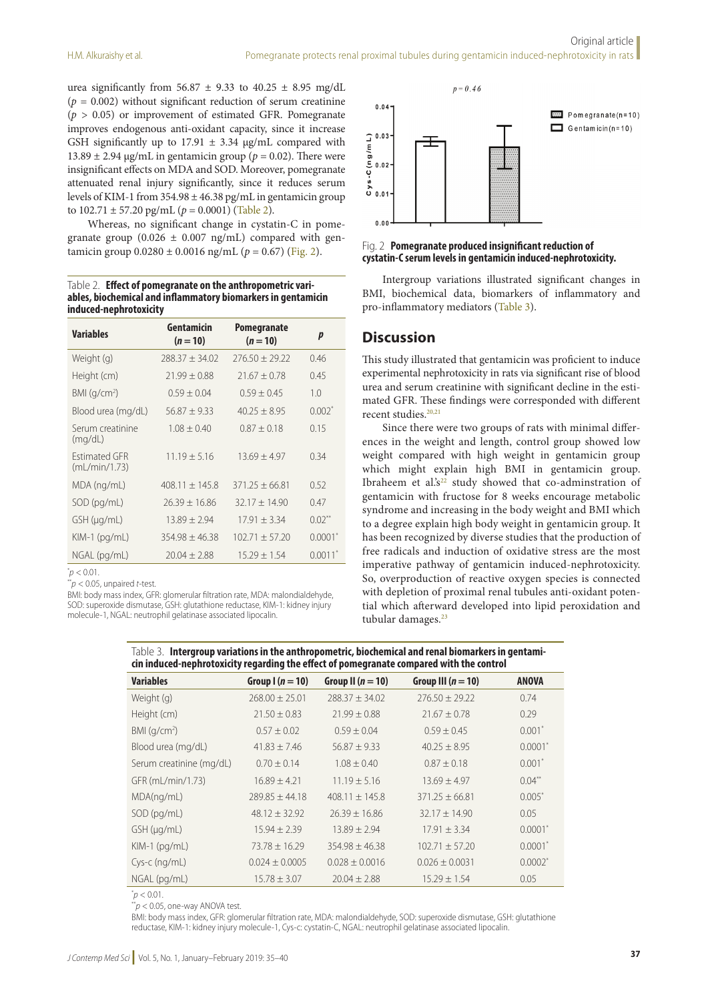urea significantly from  $56.87 \pm 9.33$  to  $40.25 \pm 8.95$  mg/dL  $(p = 0.002)$  without significant reduction of serum creatinine  $(p > 0.05)$  or improvement of estimated GFR. Pomegranate improves endogenous anti-oxidant capacity, since it increase GSH significantly up to 17.91  $\pm$  3.34 µg/mL compared with 13.89  $\pm$  2.94 µg/mL in gentamicin group ( $p = 0.02$ ). There were insignificant effects on MDA and SOD. Moreover, pomegranate attenuated renal injury significantly, since it reduces serum levels of KIM-1 from  $354.98 \pm 46.38$  pg/mL in gentamicin group to  $102.71 \pm 57.20$  pg/mL ( $p = 0.0001$ ) (Table 2).

Whereas, no significant change in cystatin-C in pomegranate group  $(0.026 \pm 0.007 \text{ ng/mL})$  compared with gentamicin group  $0.0280 \pm 0.0016$  ng/mL ( $p = 0.67$ ) (Fig. 2).

Table 2. **Effect of pomegranate on the anthropometric variables, biochemical and inflammatory biomarkers in gentamicin induced-nephrotoxicity**

| <b>Variables</b>                      | Gentamicin<br>$(n = 10)$ | <b>Pomegranate</b><br>$(n = 10)$ | p                     |
|---------------------------------------|--------------------------|----------------------------------|-----------------------|
| Weight (g)                            | $788.37 + 34.02$         | $776.50 + 79.22$                 | 0.46                  |
| Height (cm)                           | $71.99 + 0.88$           | $21.67 + 0.78$                   | 0.45                  |
| BMI (q/cm <sup>2</sup> )              | $0.59 \pm 0.04$          | $0.59 + 0.45$                    | 1.0                   |
| Blood urea (mg/dL)                    | $56.87 + 9.33$           | $40.25 + 8.95$                   | $0.002*$              |
| Serum creatinine<br>(mq/dL)           | $1.08 + 0.40$            | $0.87 \pm 0.18$                  | 0.15                  |
| <b>Fstimated GFR</b><br>(mL/min/1.73) | $11.19 + 5.16$           | $13.69 + 4.97$                   | 0.34                  |
| MDA (ng/mL)                           | $408.11 \pm 145.8$       | $371.25 + 66.81$                 | 0.52                  |
| $SOD$ (pg/mL)                         | $26.39 + 16.86$          | $32.17 + 14.90$                  | 0.47                  |
| $GSH$ ( $\mu$ g/mL)                   | $13.89 \pm 2.94$         | $17.91 + 3.34$                   | $0.02***$             |
| $KIM-1$ (pg/mL)                       | $354.98 + 46.38$         | $102.71 + 57.20$                 | $0.0001^*$            |
| NGAL (pg/mL)                          | $20.04 \pm 2.88$         | $15.29 + 1.54$                   | $0.0011$ <sup>*</sup> |

 $p$  < 0.01.

\*\**p* < 0.05, unpaired *t*-test.

BMI: body mass index, GFR: glomerular filtration rate, MDA: malondialdehyde, SOD: superoxide dismutase, GSH: glutathione reductase, KIM-1: kidney injury molecule-1, NGAL: neutrophil gelatinase associated lipocalin.



#### Fig. 2 **Pomegranate produced insignificant reduction of cystatin-C serum levels in gentamicin induced-nephrotoxicity.**

Intergroup variations illustrated significant changes in BMI, biochemical data, biomarkers of inflammatory and pro-inflammatory mediators (Table 3).

#### **Discussion**

This study illustrated that gentamicin was proficient to induce experimental nephrotoxicity in rats via significant rise of blood urea and serum creatinine with significant decline in the estimated GFR. These findings were corresponded with different recent studies.<sup>20,21</sup>

Since there were two groups of rats with minimal differences in the weight and length, control group showed low weight compared with high weight in gentamicin group which might explain high BMI in gentamicin group. Ibraheem et al.'s<sup>22</sup> study showed that co-adminstration of gentamicin with fructose for 8 weeks encourage metabolic syndrome and increasing in the body weight and BMI which to a degree explain high body weight in gentamicin group. It has been recognized by diverse studies that the production of free radicals and induction of oxidative stress are the most imperative pathway of gentamicin induced-nephrotoxicity. So, overproduction of reactive oxygen species is connected with depletion of proximal renal tubules anti-oxidant potential which afterward developed into lipid peroxidation and tubular damages.<sup>23</sup>

Table 3. **Intergroup variations in the anthropometric, biochemical and renal biomarkers in gentami- cin induced-nephrotoxicity regarding the effect of pomegranate compared with the control**

| <b>Variables</b>         | Group $(n = 10)$   | Group II $(n = 10)$ | Group III $(n = 10)$ | <b>ANOVA</b> |  |  |  |  |
|--------------------------|--------------------|---------------------|----------------------|--------------|--|--|--|--|
| Weight (g)               | $268.00 \pm 25.01$ | $288.37 \pm 34.02$  | $276.50 \pm 29.22$   | 0.74         |  |  |  |  |
| Height (cm)              | $21.50 \pm 0.83$   | $21.99 \pm 0.88$    | $21.67 \pm 0.78$     | 0.29         |  |  |  |  |
| BMI (q/cm <sup>2</sup> ) | $0.57 \pm 0.02$    | $0.59 \pm 0.04$     | $0.59 \pm 0.45$      | $0.001*$     |  |  |  |  |
| Blood urea (mg/dL)       | $41.83 \pm 7.46$   | $56.87 \pm 9.33$    | $40.25 \pm 8.95$     | $0.0001*$    |  |  |  |  |
| Serum creatinine (mg/dL) | $0.70 \pm 0.14$    | $1.08 \pm 0.40$     | $0.87 \pm 0.18$      | $0.001*$     |  |  |  |  |
| GFR (mL/min/1.73)        | $16.89 \pm 4.21$   | $11.19 \pm 5.16$    | $13.69 \pm 4.97$     | $0.04***$    |  |  |  |  |
| MDA(nq/mL)               | $289.85 \pm 44.18$ | $408.11 + 145.8$    | $371.25 + 66.81$     | $0.005*$     |  |  |  |  |
| $SOD$ (pg/mL)            | $48.12 \pm 32.92$  | $26.39 \pm 16.86$   | $32.17 \pm 14.90$    | 0.05         |  |  |  |  |
| $GSH$ ( $\mu$ g/mL)      | $15.94 \pm 2.39$   | $13.89 \pm 2.94$    | $17.91 \pm 3.34$     | $0.0001*$    |  |  |  |  |
| $KIM-1$ (pg/mL)          | $73.78 \pm 16.29$  | $354.98 \pm 46.38$  | $102.71 \pm 57.20$   | $0.0001*$    |  |  |  |  |
| $Cys-c$ (ng/mL)          | $0.024 \pm 0.0005$ | $0.028 \pm 0.0016$  | $0.026 \pm 0.0031$   | $0.0002*$    |  |  |  |  |
| NGAL (pg/mL)             | $15.78 \pm 3.07$   | $20.04 \pm 2.88$    | $15.29 \pm 1.54$     | 0.05         |  |  |  |  |

 $p$  < 0.01.

 $*p$  < 0.05, one-way ANOVA test.

BMI: body mass index, GFR: glomerular filtration rate, MDA: malondialdehyde, SOD: superoxide dismutase, GSH: glutathione reductase, KIM-1: kidney injury molecule-1, Cys-c: cystatin-C, NGAL: neutrophil gelatinase associated lipocalin.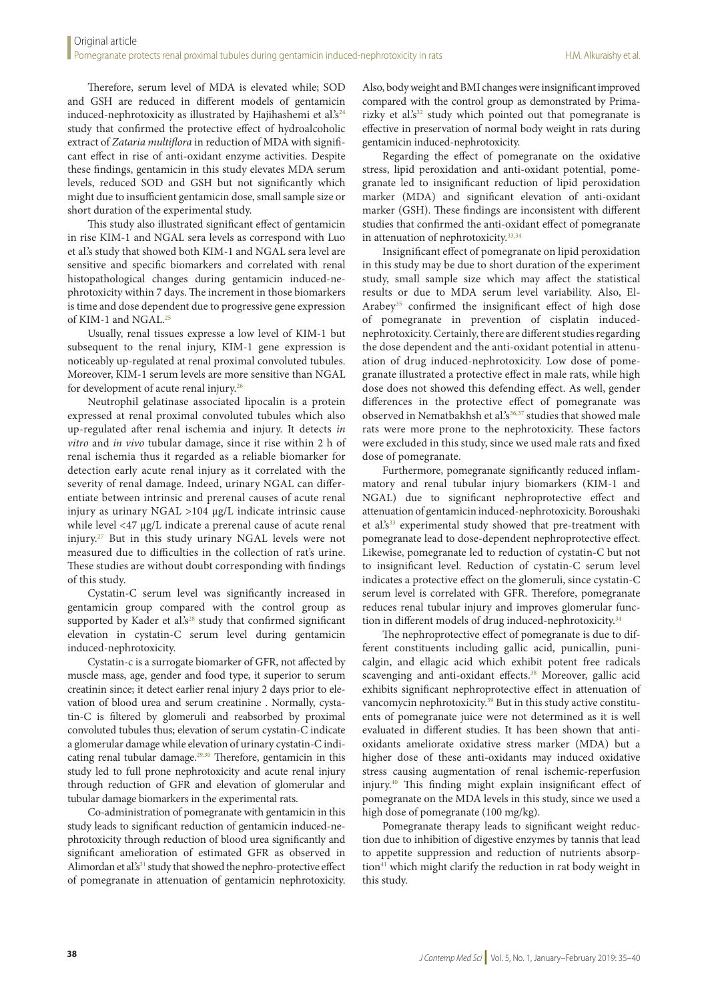Therefore, serum level of MDA is elevated while; SOD and GSH are reduced in different models of gentamicin induced-nephrotoxicity as illustrated by Hajihashemi et al. $s^{24}$ study that confirmed the protective effect of hydroalcoholic extract of *Zataria multiflora* in reduction of MDA with significant effect in rise of anti-oxidant enzyme activities. Despite these findings, gentamicin in this study elevates MDA serum levels, reduced SOD and GSH but not significantly which might due to insufficient gentamicin dose, small sample size or short duration of the experimental study.

This study also illustrated significant effect of gentamicin in rise KIM-1 and NGAL sera levels as correspond with Luo et al.'s study that showed both KIM-1 and NGAL sera level are sensitive and specific biomarkers and correlated with renal histopathological changes during gentamicin induced-nephrotoxicity within 7 days. The increment in those biomarkers is time and dose dependent due to progressive gene expression of KIM-1 and NGAL.<sup>25</sup>

Usually, renal tissues expresse a low level of KIM-1 but subsequent to the renal injury, KIM-1 gene expression is noticeably up-regulated at renal proximal convoluted tubules. Moreover, KIM-1 serum levels are more sensitive than NGAL for development of acute renal injury.26

Neutrophil gelatinase associated lipocalin is a protein expressed at renal proximal convoluted tubules which also up-regulated after renal ischemia and injury. It detects *in vitro* and *in vivo* tubular damage, since it rise within 2 h of renal ischemia thus it regarded as a reliable biomarker for detection early acute renal injury as it correlated with the severity of renal damage. Indeed, urinary NGAL can differentiate between intrinsic and prerenal causes of acute renal injury as urinary NGAL >104 μg/L indicate intrinsic cause while level <47 μg/L indicate a prerenal cause of acute renal injury. 27 But in this study urinary NGAL levels were not measured due to difficulties in the collection of rat's urine. These studies are without doubt corresponding with findings of this study.

Cystatin-C serum level was significantly increased in gentamicin group compared with the control group as supported by Kader et al.'s<sup>28</sup> study that confirmed significant elevation in cystatin-C serum level during gentamicin induced-nephrotoxicity.

Cystatin-c is a surrogate biomarker of GFR, not affected by muscle mass, age, gender and food type, it superior to serum creatinin since; it detect earlier renal injury 2 days prior to elevation of blood urea and serum creatinine . Normally, cystatin-C is filtered by glomeruli and reabsorbed by proximal convoluted tubules thus; elevation of serum cystatin-C indicate a glomerular damage while elevation of urinary cystatin-C indicating renal tubular damage. $29,30$  Therefore, gentamicin in this study led to full prone nephrotoxicity and acute renal injury through reduction of GFR and elevation of glomerular and tubular damage biomarkers in the experimental rats.

Co-administration of pomegranate with gentamicin in this study leads to significant reduction of gentamicin induced-nephrotoxicity through reduction of blood urea significantly and significant amelioration of estimated GFR as observed in Alimordan et al.'s<sup>31</sup> study that showed the nephro-protective effect of pomegranate in attenuation of gentamicin nephrotoxicity. Also, body weight and BMI changes were insignificant improved compared with the control group as demonstrated by Primarizky et al.'s $32$  study which pointed out that pomegranate is effective in preservation of normal body weight in rats during gentamicin induced-nephrotoxicity.

Regarding the effect of pomegranate on the oxidative stress, lipid peroxidation and anti-oxidant potential, pomegranate led to insignificant reduction of lipid peroxidation marker (MDA) and significant elevation of anti-oxidant marker (GSH). These findings are inconsistent with different studies that confirmed the anti-oxidant effect of pomegranate in attenuation of nephrotoxicity.<sup>33,34</sup>

Insignificant effect of pomegranate on lipid peroxidation in this study may be due to short duration of the experiment study, small sample size which may affect the statistical results or due to MDA serum level variability. Also, El-Arabey<sup>35</sup> confirmed the insignificant effect of high dose of pomegranate in prevention of cisplatin inducednephrotoxicity. Certainly, there are different studies regarding the dose dependent and the anti-oxidant potential in attenuation of drug induced-nephrotoxicity. Low dose of pomegranate illustrated a protective effect in male rats, while high dose does not showed this defending effect. As well, gender differences in the protective effect of pomegranate was observed in Nematbakhsh et al.'s<sup>36,37</sup> studies that showed male rats were more prone to the nephrotoxicity. These factors were excluded in this study, since we used male rats and fixed dose of pomegranate.

Furthermore, pomegranate significantly reduced inflammatory and renal tubular injury biomarkers (KIM-1 and NGAL) due to significant nephroprotective effect and attenuation of gentamicin induced-nephrotoxicity. Boroushaki et al.'s<sup>33</sup> experimental study showed that pre-treatment with pomegranate lead to dose-dependent nephroprotective effect. Likewise, pomegranate led to reduction of cystatin-C but not to insignificant level. Reduction of cystatin-C serum level indicates a protective effect on the glomeruli, since cystatin-C serum level is correlated with GFR. Therefore, pomegranate reduces renal tubular injury and improves glomerular function in different models of drug induced-nephrotoxicity.<sup>34</sup>

The nephroprotective effect of pomegranate is due to different constituents including gallic acid, punicallin, punicalgin, and ellagic acid which exhibit potent free radicals scavenging and anti-oxidant effects.<sup>38</sup> Moreover, gallic acid exhibits significant nephroprotective effect in attenuation of vancomycin nephrotoxicity.<sup>39</sup> But in this study active constituents of pomegranate juice were not determined as it is well evaluated in different studies. It has been shown that antioxidants ameliorate oxidative stress marker (MDA) but a higher dose of these anti-oxidants may induced oxidative stress causing augmentation of renal ischemic-reperfusion injury.40 This finding might explain insignificant effect of pomegranate on the MDA levels in this study, since we used a high dose of pomegranate (100 mg/kg).

Pomegranate therapy leads to significant weight reduction due to inhibition of digestive enzymes by tannis that lead to appetite suppression and reduction of nutrients absorption<sup>41</sup> which might clarify the reduction in rat body weight in this study.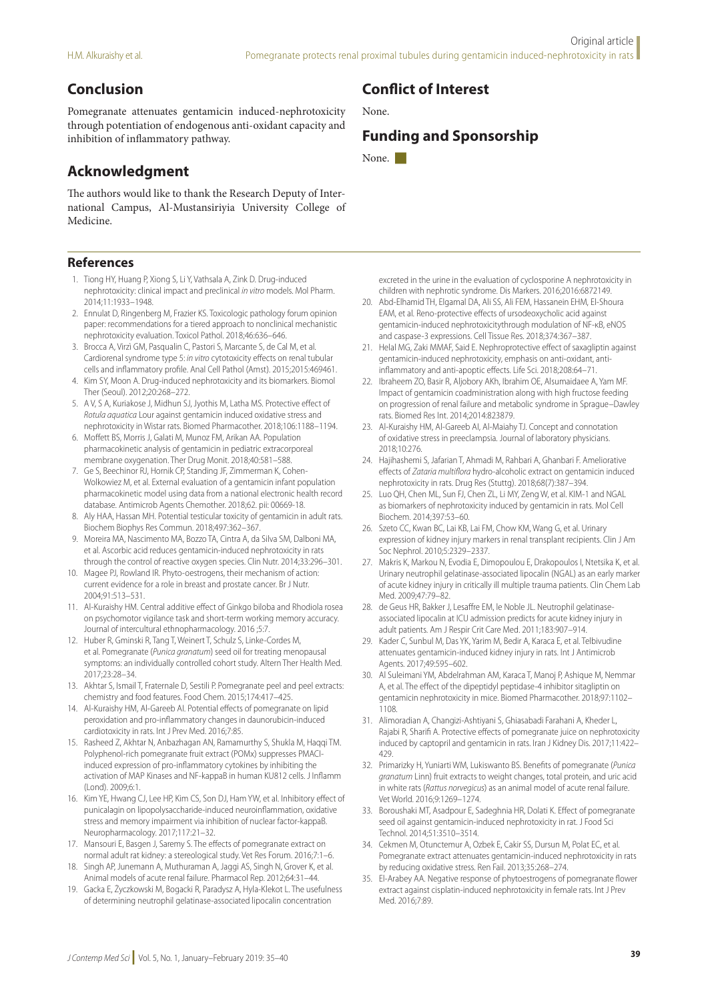## **Conclusion**

Pomegranate attenuates gentamicin induced-nephrotoxicity through potentiation of endogenous anti-oxidant capacity and inhibition of inflammatory pathway.

## **Acknowledgment**

The authors would like to thank the Research Deputy of International Campus, Al-Mustansiriyia University College of Medicine.

#### **References**

- 1. Tiong HY, Huang P, Xiong S, Li Y, Vathsala A, Zink D. Drug-induced nephrotoxicity: clinical impact and preclinical *in vitro* models. Mol Pharm. 2014;11:1933–1948.
- 2. Ennulat D, Ringenberg M, Frazier KS. Toxicologic pathology forum opinion paper: recommendations for a tiered approach to nonclinical mechanistic nephrotoxicity evaluation. Toxicol Pathol. 2018;46:636–646.
- Brocca A, Virzì GM, Pasqualin C, Pastori S, Marcante S, de Cal M, et al. Cardiorenal syndrome type 5: *in vitro* cytotoxicity effects on renal tubular cells and inflammatory profile. Anal Cell Pathol (Amst). 2015;2015:469461.
- 4. Kim SY, Moon A. Drug-induced nephrotoxicity and its biomarkers. Biomol Ther (Seoul). 2012;20:268–272.
- 5. A V, S A, Kuriakose J, Midhun SJ, Jyothis M, Latha MS. Protective effect of *Rotula aquatica* Lour against gentamicin induced oxidative stress and nephrotoxicity in Wistar rats. Biomed Pharmacother. 2018;106:1188–1194.
- 6. Moffett BS, Morris J, Galati M, Munoz FM, Arikan AA. Population pharmacokinetic analysis of gentamicin in pediatric extracorporeal membrane oxygenation. Ther Drug Monit. 2018;40:581–588.
- 7. Ge S, Beechinor RJ, Hornik CP, Standing JF, Zimmerman K, Cohen-Wolkowiez M, et al. External evaluation of a gentamicin infant population pharmacokinetic model using data from a national electronic health record database. Antimicrob Agents Chemother. 2018;62. pii: 00669-18.
- 8. Aly HAA, Hassan MH. Potential testicular toxicity of gentamicin in adult rats. Biochem Biophys Res Commun. 2018;497:362–367.
- 9. Moreira MA, Nascimento MA, Bozzo TA, Cintra A, da Silva SM, Dalboni MA, et al. Ascorbic acid reduces gentamicin-induced nephrotoxicity in rats through the control of reactive oxygen species. Clin Nutr. 2014;33:296–301.
- 10. Magee PJ, Rowland IR. Phyto-oestrogens, their mechanism of action: current evidence for a role in breast and prostate cancer. Br J Nutr. 2004;91:513–531.
- 11. Al-Kuraishy HM. Central additive effect of Ginkgo biloba and Rhodiola rosea on psychomotor vigilance task and short-term working memory accuracy. Journal of intercultural ethnopharmacology. 2016 ;5:7.
- 12. Huber R, Gminski R, Tang T, Weinert T, Schulz S, Linke-Cordes M, et al. Pomegranate (*Punica granatum*) seed oil for treating menopausal symptoms: an individually controlled cohort study. Altern Ther Health Med. 2017;23:28–34.
- 13. Akhtar S, Ismail T, Fraternale D, Sestili P. Pomegranate peel and peel extracts: chemistry and food features. Food Chem. 2015;174:417–425.
- 14. Al-Kuraishy HM, Al-Gareeb AI. Potential effects of pomegranate on lipid peroxidation and pro-inflammatory changes in daunorubicin-induced cardiotoxicity in rats. Int J Prev Med. 2016;7:85.
- 15. Rasheed Z, Akhtar N, Anbazhagan AN, Ramamurthy S, Shukla M, Haqqi TM. Polyphenol-rich pomegranate fruit extract (POMx) suppresses PMACIinduced expression of pro-inflammatory cytokines by inhibiting the activation of MAP Kinases and NF-kappaB in human KU812 cells. J Inflamm (Lond). 2009;6:1.
- 16. Kim YE, Hwang CJ, Lee HP, Kim CS, Son DJ, Ham YW, et al. Inhibitory effect of punicalagin on lipopolysaccharide-induced neuroinflammation, oxidative stress and memory impairment via inhibition of nuclear factor-kappaB. Neuropharmacology. 2017;117:21–32.
- 17. Mansouri E, Basgen J, Saremy S. The effects of pomegranate extract on normal adult rat kidney: a stereological study. Vet Res Forum. 2016;7:1–6.
- 18. Singh AP, Junemann A, Muthuraman A, Jaggi AS, Singh N, Grover K, et al. Animal models of acute renal failure. Pharmacol Rep. 2012;64:31–44.
- 19. Gacka E, Życzkowski M, Bogacki R, Paradysz A, Hyla-Klekot L. The usefulness of determining neutrophil gelatinase-associated lipocalin concentration

### **Conflict of Interest**

None.

### **Funding and Sponsorship**

None.

excreted in the urine in the evaluation of cyclosporine A nephrotoxicity in children with nephrotic syndrome. Dis Markers. 2016;2016:6872149.

- 20. Abd-Elhamid TH, Elgamal DA, Ali SS, Ali FEM, Hassanein EHM, El-Shoura EAM, et al. Reno-protective effects of ursodeoxycholic acid against gentamicin-induced nephrotoxicitythrough modulation of NF-κB, eNOS and caspase-3 expressions. Cell Tissue Res. 2018;374:367–387.
- 21. Helal MG, Zaki MMAF, Said E. Nephroprotective effect of saxagliptin against gentamicin-induced nephrotoxicity, emphasis on anti-oxidant, antiinflammatory and anti-apoptic effects. Life Sci. 2018;208:64–71.
- 22. Ibraheem ZO, Basir R, Aljobory AKh, Ibrahim OE, Alsumaidaee A, Yam MF. Impact of gentamicin coadministration along with high fructose feeding on progression of renal failure and metabolic syndrome in Sprague–Dawley rats. Biomed Res Int. 2014;2014:823879.
- 23. Al-Kuraishy HM, Al-Gareeb AI, Al-Maiahy TJ. Concept and connotation of oxidative stress in preeclampsia. Journal of laboratory physicians. 2018;10:276.
- 24. Hajihashemi S, Jafarian T, Ahmadi M, Rahbari A, Ghanbari F. Ameliorative effects of *Zataria multiflora* hydro-alcoholic extract on gentamicin induced nephrotoxicity in rats. Drug Res (Stuttg). 2018;68(7):387–394.
- 25. Luo QH, Chen ML, Sun FJ, Chen ZL, Li MY, Zeng W, et al. KIM-1 and NGAL as biomarkers of nephrotoxicity induced by gentamicin in rats. Mol Cell Biochem. 2014;397:53–60.
- 26. Szeto CC, Kwan BC, Lai KB, Lai FM, Chow KM, Wang G, et al. Urinary expression of kidney injury markers in renal transplant recipients. Clin J Am Soc Nephrol. 2010;5:2329–2337.
- 27. Makris K, Markou N, Evodia E, Dimopoulou E, Drakopoulos I, Ntetsika K, et al. Urinary neutrophil gelatinase-associated lipocalin (NGAL) as an early marker of acute kidney injury in critically ill multiple trauma patients. Clin Chem Lab Med. 2009;47:79–82.
- 28. de Geus HR, Bakker J, Lesaffre EM, le Noble JL. Neutrophil gelatinaseassociated lipocalin at ICU admission predicts for acute kidney injury in adult patients. Am J Respir Crit Care Med. 2011;183:907–914.
- 29. Kader C, Sunbul M, Das YK, Yarim M, Bedir A, Karaca E, et al. Telbivudine attenuates gentamicin-induced kidney injury in rats. Int J Antimicrob Agents. 2017;49:595–602.
- 30. Al Suleimani YM, Abdelrahman AM, Karaca T, Manoj P, Ashique M, Nemmar A, et al. The effect of the dipeptidyl peptidase-4 inhibitor sitagliptin on gentamicin nephrotoxicity in mice. Biomed Pharmacother. 2018;97:1102– 1108.
- 31. Alimoradian A, Changizi-Ashtiyani S, Ghiasabadi Farahani A, Kheder L, Rajabi R, Sharifi A. Protective effects of pomegranate juice on nephrotoxicity induced by captopril and gentamicin in rats. Iran J Kidney Dis. 2017;11:422– 429.
- 32. Primarizky H, Yuniarti WM, Lukiswanto BS. Benefits of pomegranate (*Punica granatum* Linn) fruit extracts to weight changes, total protein, and uric acid in white rats (*Rattus norvegicus*) as an animal model of acute renal failure. Vet World. 2016;9:1269–1274.
- 33. Boroushaki MT, Asadpour E, Sadeghnia HR, Dolati K. Effect of pomegranate seed oil against gentamicin-induced nephrotoxicity in rat. J Food Sci Technol. 2014;51:3510–3514.
- 34. Cekmen M, Otunctemur A, Ozbek E, Cakir SS, Dursun M, Polat EC, et al. Pomegranate extract attenuates gentamicin-induced nephrotoxicity in rats by reducing oxidative stress. Ren Fail. 2013;35:268–274.
- 35. El-Arabey AA. Negative response of phytoestrogens of pomegranate flower extract against cisplatin-induced nephrotoxicity in female rats. Int J Prev Med. 2016;7:89.